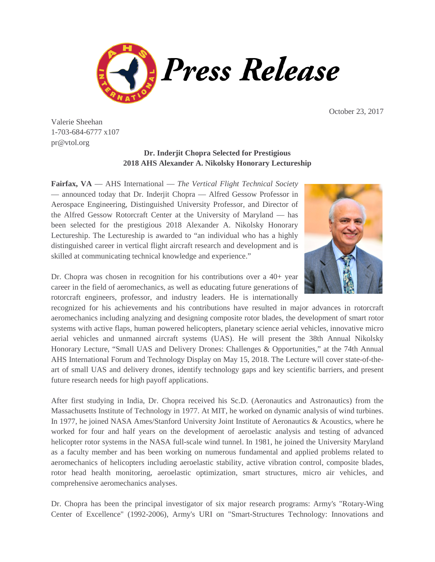

October 23, 2017

Valerie Sheehan 1-703-684-6777 x107 pr@vtol.org

## **Dr. Inderjit Chopra Selected for Prestigious 2018 AHS Alexander A. Nikolsky Honorary Lectureship**

**Fairfax, VA** — AHS International — *The Vertical Flight Technical Society* — announced today that Dr. Inderjit Chopra — Alfred Gessow Professor in Aerospace Engineering, Distinguished University Professor, and Director of the Alfred Gessow Rotorcraft Center at the University of Maryland — has been selected for the prestigious 2018 Alexander A. Nikolsky Honorary Lectureship. The Lectureship is awarded to "an individual who has a highly distinguished career in vertical flight aircraft research and development and is skilled at communicating technical knowledge and experience."



Dr. Chopra was chosen in recognition for his contributions over a 40+ year career in the field of aeromechanics, as well as educating future generations of rotorcraft engineers, professor, and industry leaders. He is internationally

recognized for his achievements and his contributions have resulted in major advances in rotorcraft aeromechanics including analyzing and designing composite rotor blades, the development of smart rotor systems with active flaps, human powered helicopters, planetary science aerial vehicles, innovative micro aerial vehicles and unmanned aircraft systems (UAS). He will present the 38th Annual Nikolsky Honorary Lecture, "Small UAS and Delivery Drones: Challenges & Opportunities," at the 74th Annual AHS International Forum and Technology Display on May 15, 2018. The Lecture will cover state-of-theart of small UAS and delivery drones, identify technology gaps and key scientific barriers, and present future research needs for high payoff applications.

After first studying in India, Dr. Chopra received his Sc.D. (Aeronautics and Astronautics) from the Massachusetts Institute of Technology in 1977. At MIT, he worked on dynamic analysis of wind turbines. In 1977, he joined NASA Ames/Stanford University Joint Institute of Aeronautics & Acoustics, where he worked for four and half years on the development of aeroelastic analysis and testing of advanced helicopter rotor systems in the NASA full-scale wind tunnel. In 1981, he joined the University Maryland as a faculty member and has been working on numerous fundamental and applied problems related to aeromechanics of helicopters including aeroelastic stability, active vibration control, composite blades, rotor head health monitoring, aeroelastic optimization, smart structures, micro air vehicles, and comprehensive aeromechanics analyses.

Dr. Chopra has been the principal investigator of six major research programs: Army's "Rotary-Wing Center of Excellence" (1992-2006), Army's URI on "Smart-Structures Technology: Innovations and